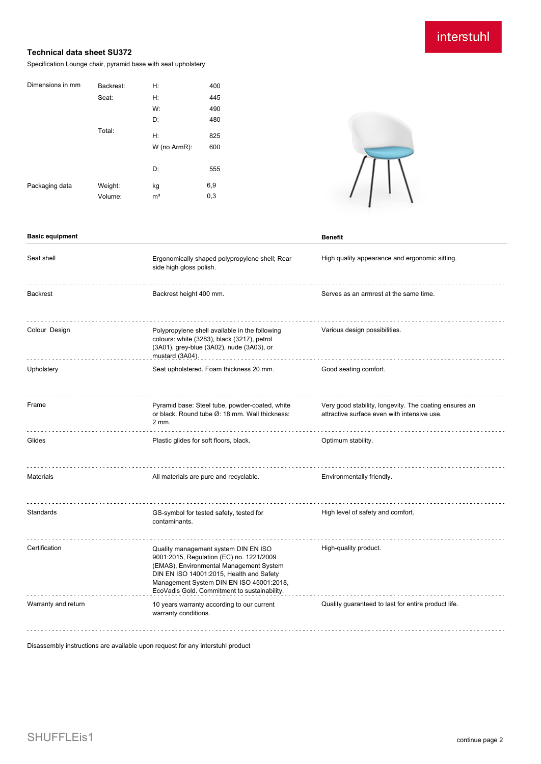# interstuhl

## **Technical data sheet SU372**

Specification Lounge chair, pyramid base with seat upholstery

| Dimensions in mm | Backrest: | H:             | 400 |
|------------------|-----------|----------------|-----|
|                  | Seat:     | Н:             | 445 |
|                  |           | W:             | 490 |
|                  |           | D:             | 480 |
|                  | Total:    | H:             | 825 |
|                  |           | W (no ArmR):   | 600 |
|                  |           | D:             | 555 |
| Packaging data   | Weight:   | kg             | 6,9 |
|                  | Volume:   | m <sup>3</sup> | 0,3 |



#### **Basic equipment Benefit**

| Seat shell          | Ergonomically shaped polypropylene shell; Rear<br>side high gloss polish.                                                                                                                                                                                           | High quality appearance and ergonomic sitting.                                                        |  |
|---------------------|---------------------------------------------------------------------------------------------------------------------------------------------------------------------------------------------------------------------------------------------------------------------|-------------------------------------------------------------------------------------------------------|--|
| <b>Backrest</b>     | Backrest height 400 mm.                                                                                                                                                                                                                                             | Serves as an armrest at the same time.                                                                |  |
| Colour Design       | Polypropylene shell available in the following<br>colours: white (3283), black (3217), petrol<br>(3A01), grey-blue (3A02), nude (3A03), or<br>mustard (3A04).                                                                                                       | Various design possibilities.                                                                         |  |
| Upholstery          | Seat upholstered. Foam thickness 20 mm.                                                                                                                                                                                                                             | Good seating comfort.                                                                                 |  |
| Frame               | Pyramid base: Steel tube, powder-coated, white<br>or black. Round tube Ø: 18 mm. Wall thickness:<br>2 mm.                                                                                                                                                           | Very good stability, longevity. The coating ensures an<br>attractive surface even with intensive use. |  |
| Glides              | Plastic glides for soft floors, black.                                                                                                                                                                                                                              | Optimum stability.                                                                                    |  |
| <b>Materials</b>    | All materials are pure and recyclable.                                                                                                                                                                                                                              | Environmentally friendly.                                                                             |  |
| Standards           | GS-symbol for tested safety, tested for<br>contaminants.                                                                                                                                                                                                            | High level of safety and comfort.                                                                     |  |
| Certification       | Quality management system DIN EN ISO<br>9001:2015, Regulation (EC) no. 1221/2009<br>(EMAS), Environmental Management System<br>DIN EN ISO 14001:2015, Health and Safety<br>Management System DIN EN ISO 45001:2018,<br>EcoVadis Gold. Commitment to sustainability. | High-quality product.                                                                                 |  |
| Warranty and return | 10 years warranty according to our current<br>warranty conditions.                                                                                                                                                                                                  | Quality guaranteed to last for entire product life.                                                   |  |

Disassembly instructions are available upon request for any interstuhl product